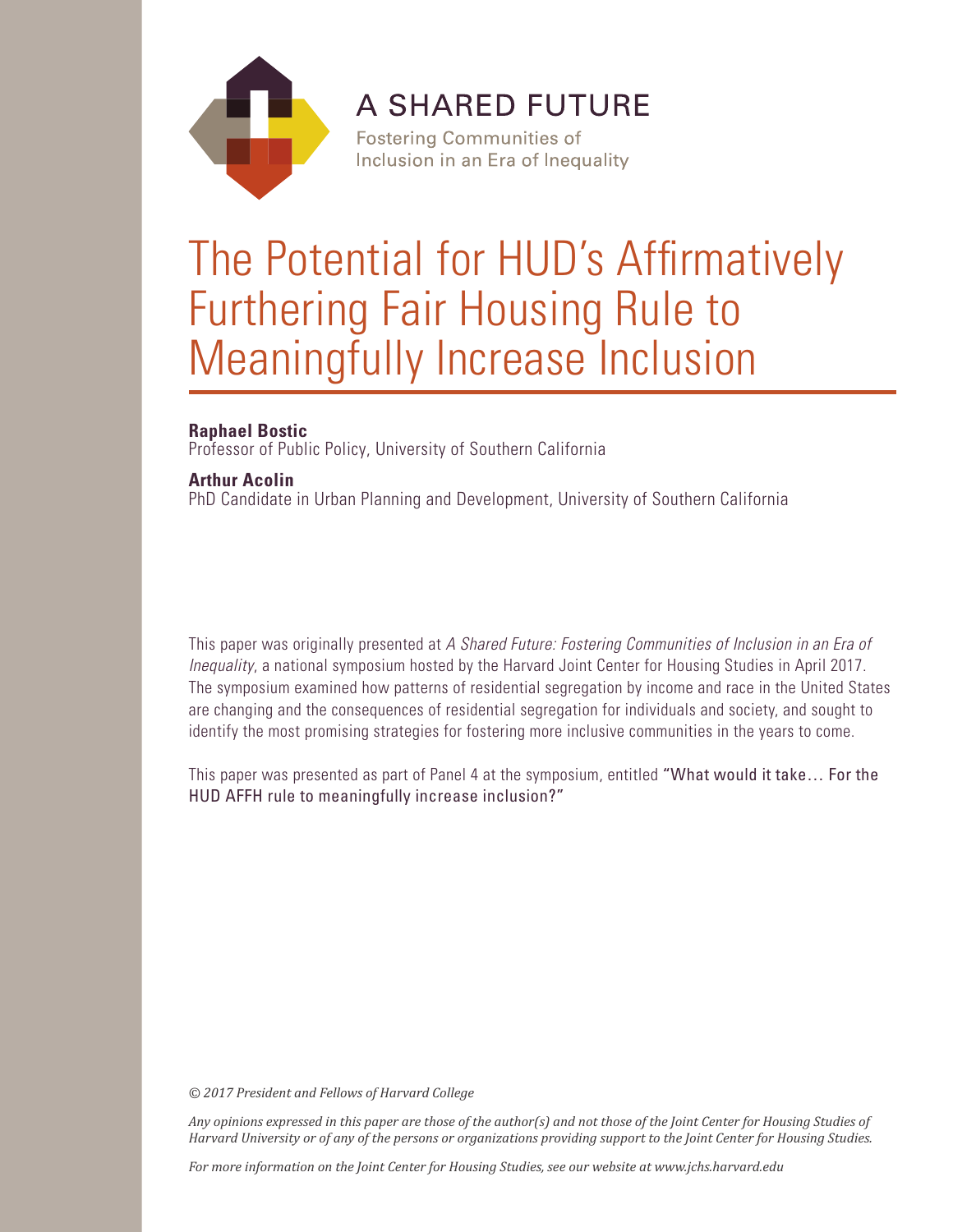

**A SHARED FUTURE** 

**Fostering Communities of** Inclusion in an Era of Inequality

# The Potential for HUD's Affirmatively Furthering Fair Housing Rule to Meaningfully Increase Inclusion

## **Raphael Bostic**

Professor of Public Policy, University of Southern California

## **Arthur Acolin**

PhD Candidate in Urban Planning and Development, University of Southern California

This paper was originally presented at *A Shared Future: Fostering Communities of Inclusion in an Era of Inequality*, a national symposium hosted by the Harvard Joint Center for Housing Studies in April 2017. The symposium examined how patterns of residential segregation by income and race in the United States are changing and the consequences of residential segregation for individuals and society, and sought to identify the most promising strategies for fostering more inclusive communities in the years to come.

This paper was presented as part of Panel 4 at the symposium, entitled "What would it take… For the HUD AFFH rule to meaningfully increase inclusion?"

*© 2017 President and Fellows of Harvard College*

*Any opinions expressed in this paper are those of the author(s) and not those of the Joint Center for Housing Studies of Harvard University or of any of the persons or organizations providing support to the Joint Center for Housing Studies.* 

*For more information on the Joint Center for Housing Studies, see our website at www.jchs.harvard.edu*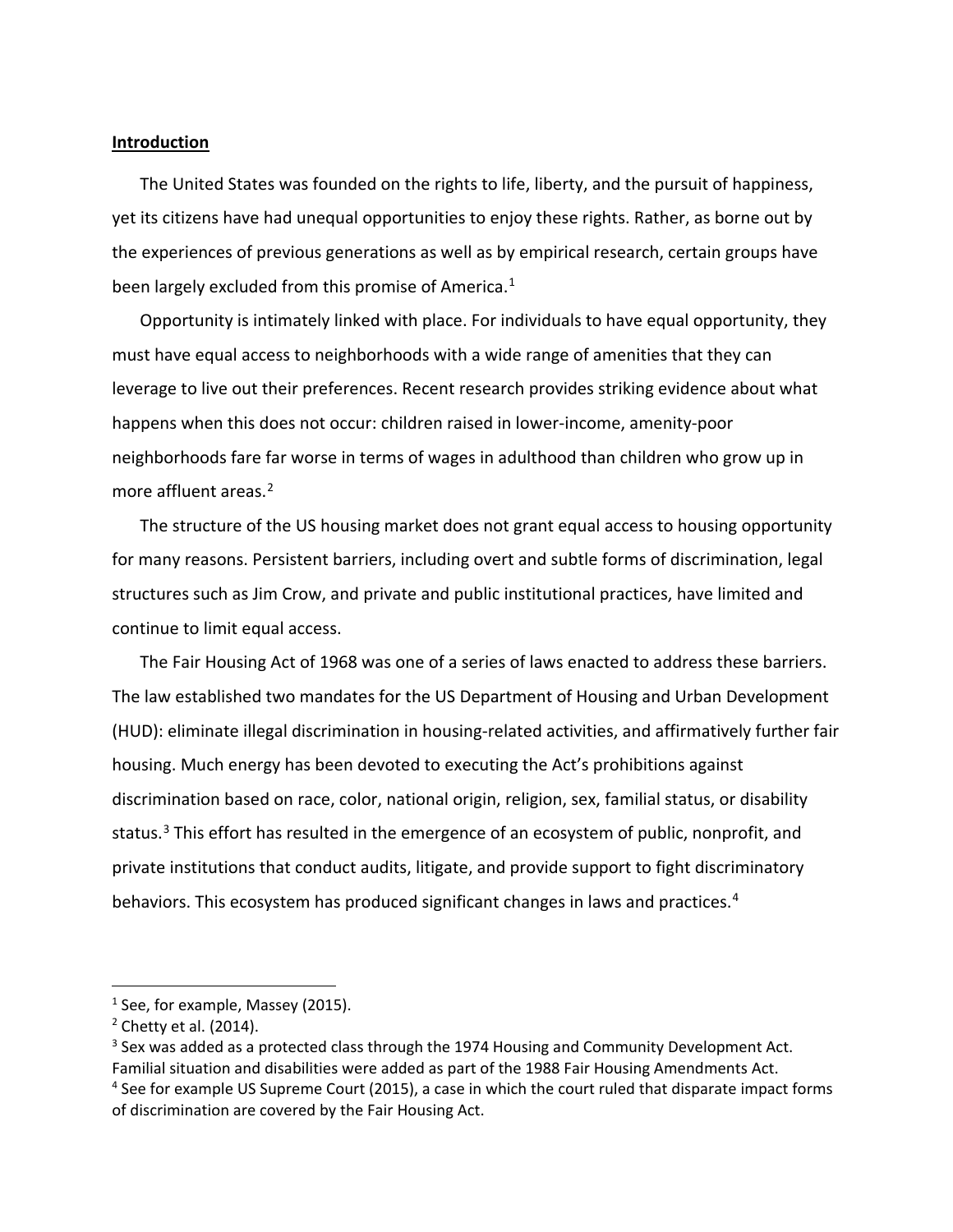#### **Introduction**

The United States was founded on the rights to life, liberty, and the pursuit of happiness, yet its citizens have had unequal opportunities to enjoy these rights. Rather, as borne out by the experiences of previous generations as well as by empirical research, certain groups have been largely excluded from this promise of America.<sup>[1](#page-2-0)</sup>

Opportunity is intimately linked with place. For individuals to have equal opportunity, they must have equal access to neighborhoods with a wide range of amenities that they can leverage to live out their preferences. Recent research provides striking evidence about what happens when this does not occur: children raised in lower-income, amenity-poor neighborhoods fare far worse in terms of wages in adulthood than children who grow up in more affluent areas.<sup>[2](#page-2-1)</sup>

The structure of the US housing market does not grant equal access to housing opportunity for many reasons. Persistent barriers, including overt and subtle forms of discrimination, legal structures such as Jim Crow, and private and public institutional practices, have limited and continue to limit equal access.

The Fair Housing Act of 1968 was one of a series of laws enacted to address these barriers. The law established two mandates for the US Department of Housing and Urban Development (HUD): eliminate illegal discrimination in housing-related activities, and affirmatively further fair housing. Much energy has been devoted to executing the Act's prohibitions against discrimination based on race, color, national origin, religion, sex, familial status, or disability status.<sup>[3](#page-2-2)</sup> This effort has resulted in the emergence of an ecosystem of public, nonprofit, and private institutions that conduct audits, litigate, and provide support to fight discriminatory behaviors. This ecosystem has produced significant changes in laws and practices.<sup>[4](#page-2-3)</sup>

<span id="page-2-0"></span> $<sup>1</sup>$  See, for example, Massey (2015).</sup>

<span id="page-2-1"></span> $2$  Chetty et al. (2014).

<span id="page-2-2"></span> $3$  Sex was added as a protected class through the 1974 Housing and Community Development Act. Familial situation and disabilities were added as part of the 1988 Fair Housing Amendments Act. <sup>4</sup> See for example US Supreme Court (2015), a case in which the court ruled that disparate impact forms

<span id="page-2-3"></span>of discrimination are covered by the Fair Housing Act.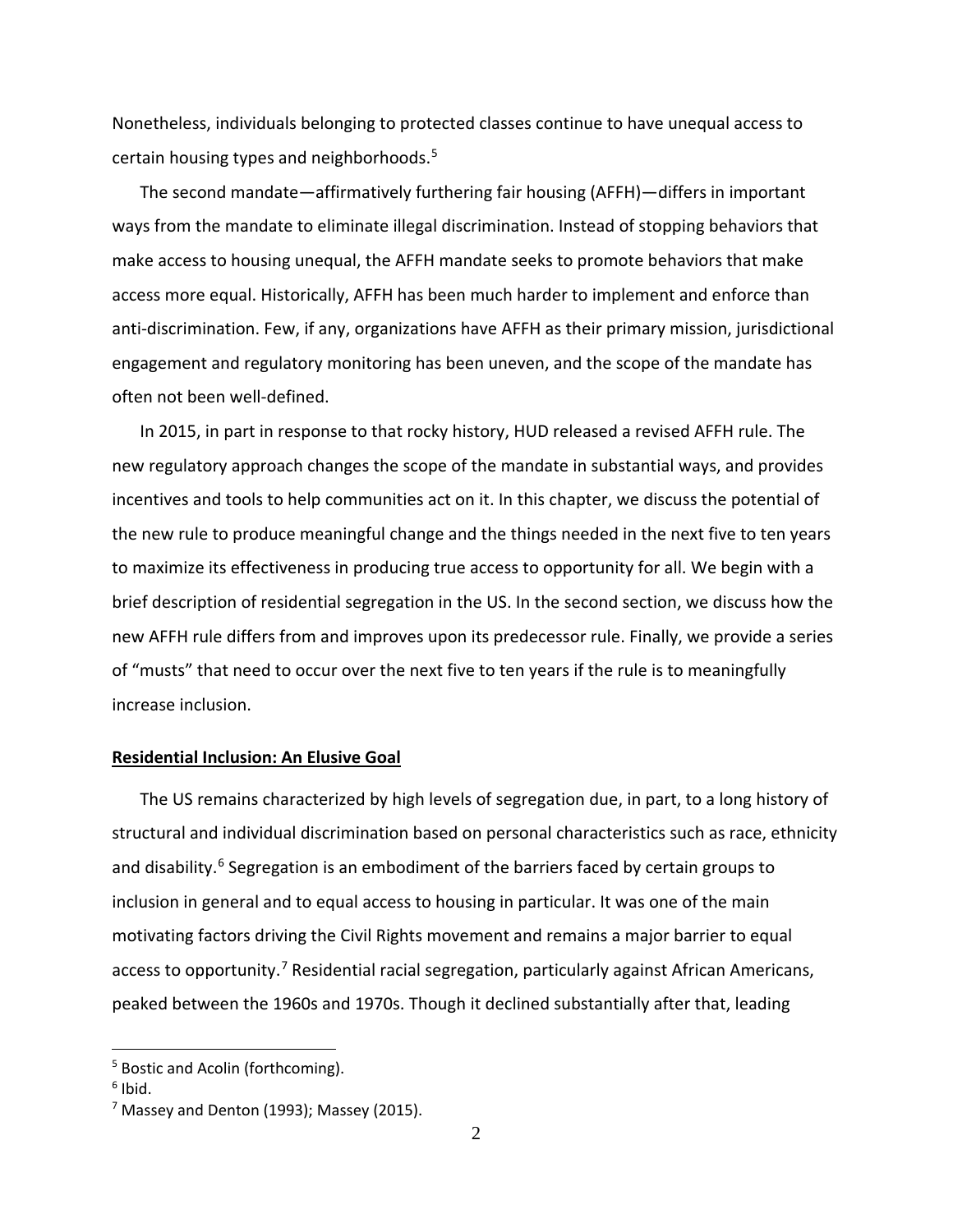Nonetheless, individuals belonging to protected classes continue to have unequal access to certain housing types and neighborhoods. [5](#page-3-0)

The second mandate—affirmatively furthering fair housing (AFFH)—differs in important ways from the mandate to eliminate illegal discrimination. Instead of stopping behaviors that make access to housing unequal, the AFFH mandate seeks to promote behaviors that make access more equal. Historically, AFFH has been much harder to implement and enforce than anti-discrimination. Few, if any, organizations have AFFH as their primary mission, jurisdictional engagement and regulatory monitoring has been uneven, and the scope of the mandate has often not been well-defined.

In 2015, in part in response to that rocky history, HUD released a revised AFFH rule. The new regulatory approach changes the scope of the mandate in substantial ways, and provides incentives and tools to help communities act on it. In this chapter, we discuss the potential of the new rule to produce meaningful change and the things needed in the next five to ten years to maximize its effectiveness in producing true access to opportunity for all. We begin with a brief description of residential segregation in the US. In the second section, we discuss how the new AFFH rule differs from and improves upon its predecessor rule. Finally, we provide a series of "musts" that need to occur over the next five to ten years if the rule is to meaningfully increase inclusion.

#### **Residential Inclusion: An Elusive Goal**

The US remains characterized by high levels of segregation due, in part, to a long history of structural and individual discrimination based on personal characteristics such as race, ethnicity and disability.<sup>[6](#page-3-1)</sup> Segregation is an embodiment of the barriers faced by certain groups to inclusion in general and to equal access to housing in particular. It was one of the main motivating factors driving the Civil Rights movement and remains a major barrier to equal access to opportunity.<sup>[7](#page-3-2)</sup> Residential racial segregation, particularly against African Americans, peaked between the 1960s and 1970s. Though it declined substantially after that, leading

<span id="page-3-0"></span><sup>&</sup>lt;sup>5</sup> Bostic and Acolin (forthcoming).

<span id="page-3-1"></span> $6$  Ibid.

<span id="page-3-2"></span> $<sup>7</sup>$  Massey and Denton (1993); Massey (2015).</sup>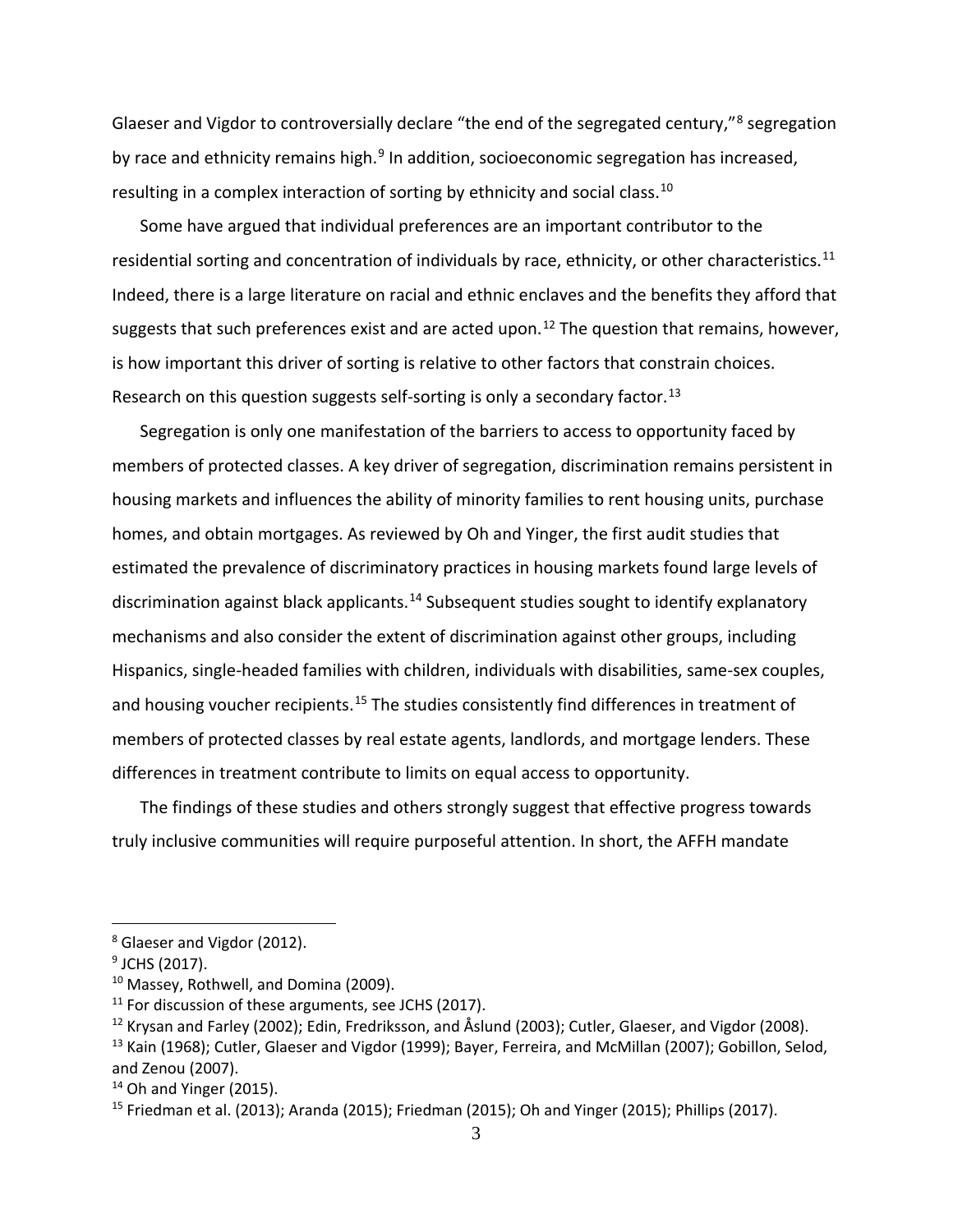Glaeser and Vigdor to controversially declare "the end of the segregated century,"[8](#page-4-0) segregation by race and ethnicity remains high.<sup>[9](#page-4-1)</sup> In addition, socioeconomic segregation has increased, resulting in a complex interaction of sorting by ethnicity and social class.<sup>[10](#page-4-2)</sup>

Some have argued that individual preferences are an important contributor to the residential sorting and concentration of individuals by race, ethnicity, or other characteristics.<sup>[11](#page-4-3)</sup> Indeed, there is a large literature on racial and ethnic enclaves and the benefits they afford that suggests that such preferences exist and are acted upon.<sup>[12](#page-4-4)</sup> The question that remains, however, is how important this driver of sorting is relative to other factors that constrain choices. Research on this question suggests self-sorting is only a secondary factor.<sup>[13](#page-4-5)</sup>

Segregation is only one manifestation of the barriers to access to opportunity faced by members of protected classes. A key driver of segregation, discrimination remains persistent in housing markets and influences the ability of minority families to rent housing units, purchase homes, and obtain mortgages. As reviewed by Oh and Yinger, the first audit studies that estimated the prevalence of discriminatory practices in housing markets found large levels of discrimination against black applicants.<sup>[14](#page-4-6)</sup> Subsequent studies sought to identify explanatory mechanisms and also consider the extent of discrimination against other groups, including Hispanics, single-headed families with children, individuals with disabilities, same-sex couples, and housing voucher recipients.<sup>[15](#page-4-7)</sup> The studies consistently find differences in treatment of members of protected classes by real estate agents, landlords, and mortgage lenders. These differences in treatment contribute to limits on equal access to opportunity.

The findings of these studies and others strongly suggest that effective progress towards truly inclusive communities will require purposeful attention. In short, the AFFH mandate

<span id="page-4-0"></span><sup>8</sup> Glaeser and Vigdor (2012).

<span id="page-4-1"></span><sup>&</sup>lt;sup>9</sup> JCHS (2017).

<span id="page-4-2"></span><sup>10</sup> Massey, Rothwell, and Domina (2009).

<span id="page-4-3"></span> $11$  For discussion of these arguments, see JCHS (2017).

<span id="page-4-5"></span><span id="page-4-4"></span><sup>&</sup>lt;sup>12</sup> Krysan and Farley (2002); Edin, Fredriksson, and Åslund (2003); Cutler, Glaeser, and Vigdor (2008). <sup>13</sup> Kain (1968); Cutler, Glaeser and Vigdor (1999); Bayer, Ferreira, and McMillan (2007); Gobillon, Selod, and Zenou (2007).

<span id="page-4-6"></span> $14$  Oh and Yinger (2015).

<span id="page-4-7"></span><sup>&</sup>lt;sup>15</sup> Friedman et al. (2013); Aranda (2015); Friedman (2015); Oh and Yinger (2015); Phillips (2017).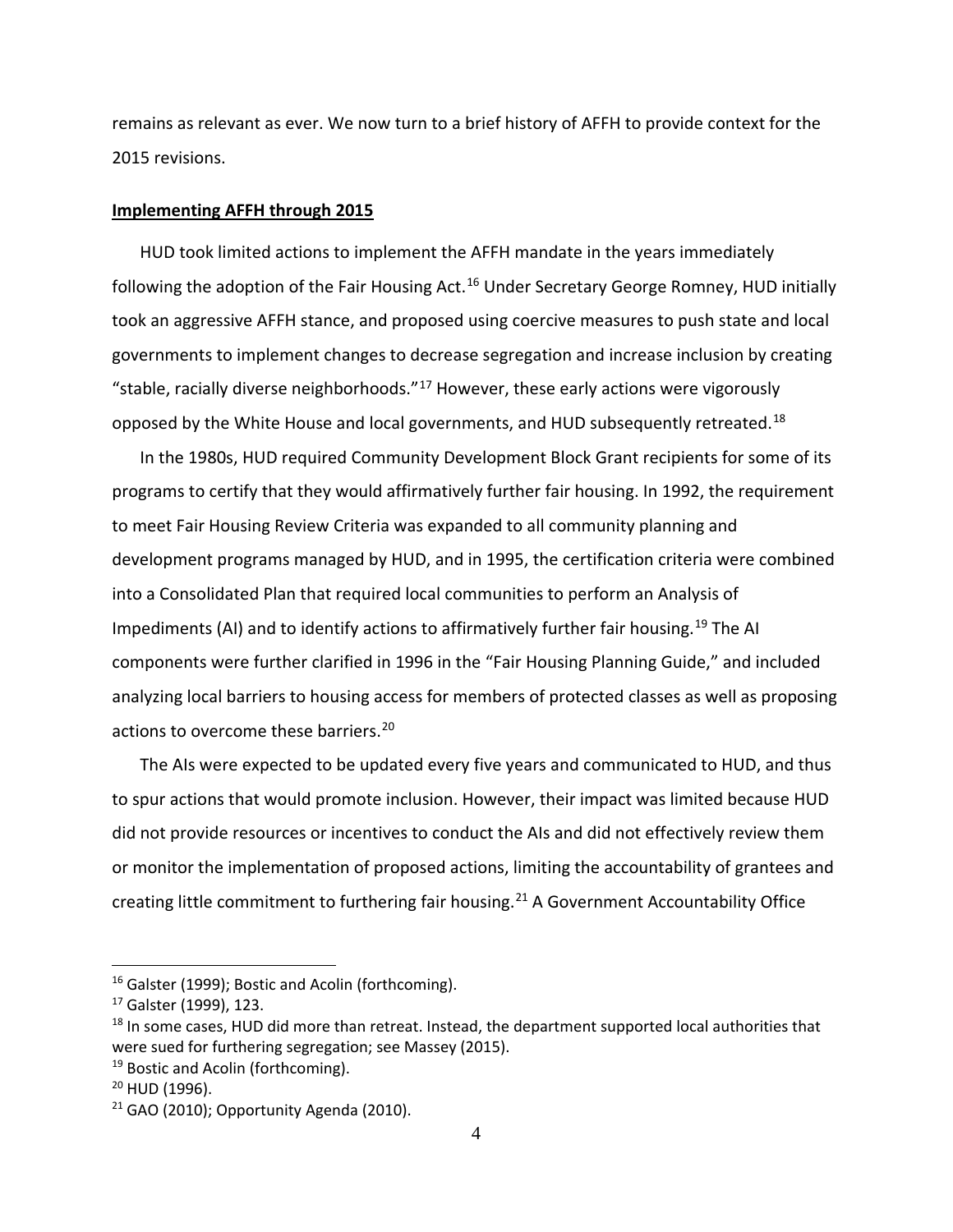remains as relevant as ever. We now turn to a brief history of AFFH to provide context for the 2015 revisions.

#### **Implementing AFFH through 2015**

HUD took limited actions to implement the AFFH mandate in the years immediately following the adoption of the Fair Housing Act.<sup>[16](#page-5-0)</sup> Under Secretary George Romney, HUD initially took an aggressive AFFH stance, and proposed using coercive measures to push state and local governments to implement changes to decrease segregation and increase inclusion by creating "stable, racially diverse neighborhoods." $^{17}$  $^{17}$  $^{17}$  However, these early actions were vigorously opposed by the White House and local governments, and HUD subsequently retreated.<sup>[18](#page-5-2)</sup>

In the 1980s, HUD required Community Development Block Grant recipients for some of its programs to certify that they would affirmatively further fair housing. In 1992, the requirement to meet Fair Housing Review Criteria was expanded to all community planning and development programs managed by HUD, and in 1995, the certification criteria were combined into a Consolidated Plan that required local communities to perform an Analysis of Impediments (AI) and to identify actions to affirmatively further fair housing.<sup>[19](#page-5-3)</sup> The AI components were further clarified in 1996 in the "Fair Housing Planning Guide," and included analyzing local barriers to housing access for members of protected classes as well as proposing actions to overcome these barriers. [20](#page-5-4)

The AIs were expected to be updated every five years and communicated to HUD, and thus to spur actions that would promote inclusion. However, their impact was limited because HUD did not provide resources or incentives to conduct the AIs and did not effectively review them or monitor the implementation of proposed actions, limiting the accountability of grantees and creating little commitment to furthering fair housing.<sup>[21](#page-5-5)</sup> A Government Accountability Office

<span id="page-5-0"></span><sup>&</sup>lt;sup>16</sup> Galster (1999); Bostic and Acolin (forthcoming).

<span id="page-5-1"></span><sup>&</sup>lt;sup>17</sup> Galster (1999), 123.

<span id="page-5-2"></span><sup>&</sup>lt;sup>18</sup> In some cases, HUD did more than retreat. Instead, the department supported local authorities that were sued for furthering segregation; see Massey (2015).

<span id="page-5-3"></span><sup>&</sup>lt;sup>19</sup> Bostic and Acolin (forthcoming).

<span id="page-5-4"></span><sup>20</sup> HUD (1996).

<span id="page-5-5"></span> $21$  GAO (2010); Opportunity Agenda (2010).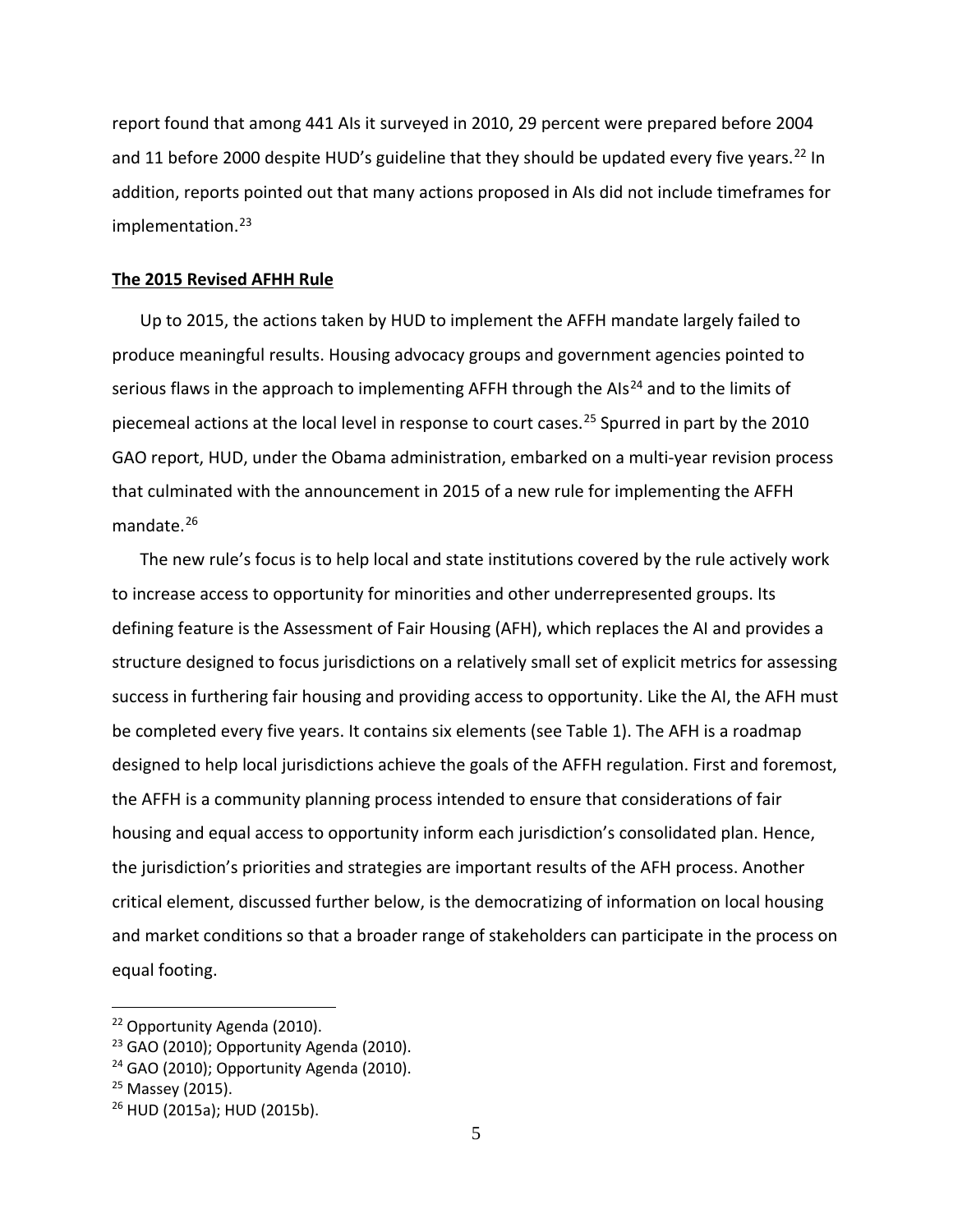report found that among 441 AIs it surveyed in 2010, 29 percent were prepared before 2004 and 11 before 2000 despite HUD's guideline that they should be updated every five years.<sup>[22](#page-6-0)</sup> In addition, reports pointed out that many actions proposed in AIs did not include timeframes for implementation. [23](#page-6-1)

#### **The 2015 Revised AFHH Rule**

Up to 2015, the actions taken by HUD to implement the AFFH mandate largely failed to produce meaningful results. Housing advocacy groups and government agencies pointed to serious flaws in the approach to implementing AFFH through the AIs<sup>[24](#page-6-2)</sup> and to the limits of piecemeal actions at the local level in response to court cases. [25](#page-6-3) Spurred in part by the 2010 GAO report, HUD, under the Obama administration, embarked on a multi-year revision process that culminated with the announcement in 2015 of a new rule for implementing the AFFH mandate. [26](#page-6-4)

The new rule's focus is to help local and state institutions covered by the rule actively work to increase access to opportunity for minorities and other underrepresented groups. Its defining feature is the Assessment of Fair Housing (AFH), which replaces the AI and provides a structure designed to focus jurisdictions on a relatively small set of explicit metrics for assessing success in furthering fair housing and providing access to opportunity. Like the AI, the AFH must be completed every five years. It contains six elements (see Table 1). The AFH is a roadmap designed to help local jurisdictions achieve the goals of the AFFH regulation. First and foremost, the AFFH is a community planning process intended to ensure that considerations of fair housing and equal access to opportunity inform each jurisdiction's consolidated plan. Hence, the jurisdiction's priorities and strategies are important results of the AFH process. Another critical element, discussed further below, is the democratizing of information on local housing and market conditions so that a broader range of stakeholders can participate in the process on equal footing.

<span id="page-6-0"></span><sup>22</sup> Opportunity Agenda (2010).

<span id="page-6-1"></span> $23$  GAO (2010); Opportunity Agenda (2010).

<span id="page-6-2"></span> $24$  GAO (2010); Opportunity Agenda (2010).

<span id="page-6-3"></span><sup>25</sup> Massey (2015).

<span id="page-6-4"></span><sup>26</sup> HUD (2015a); HUD (2015b).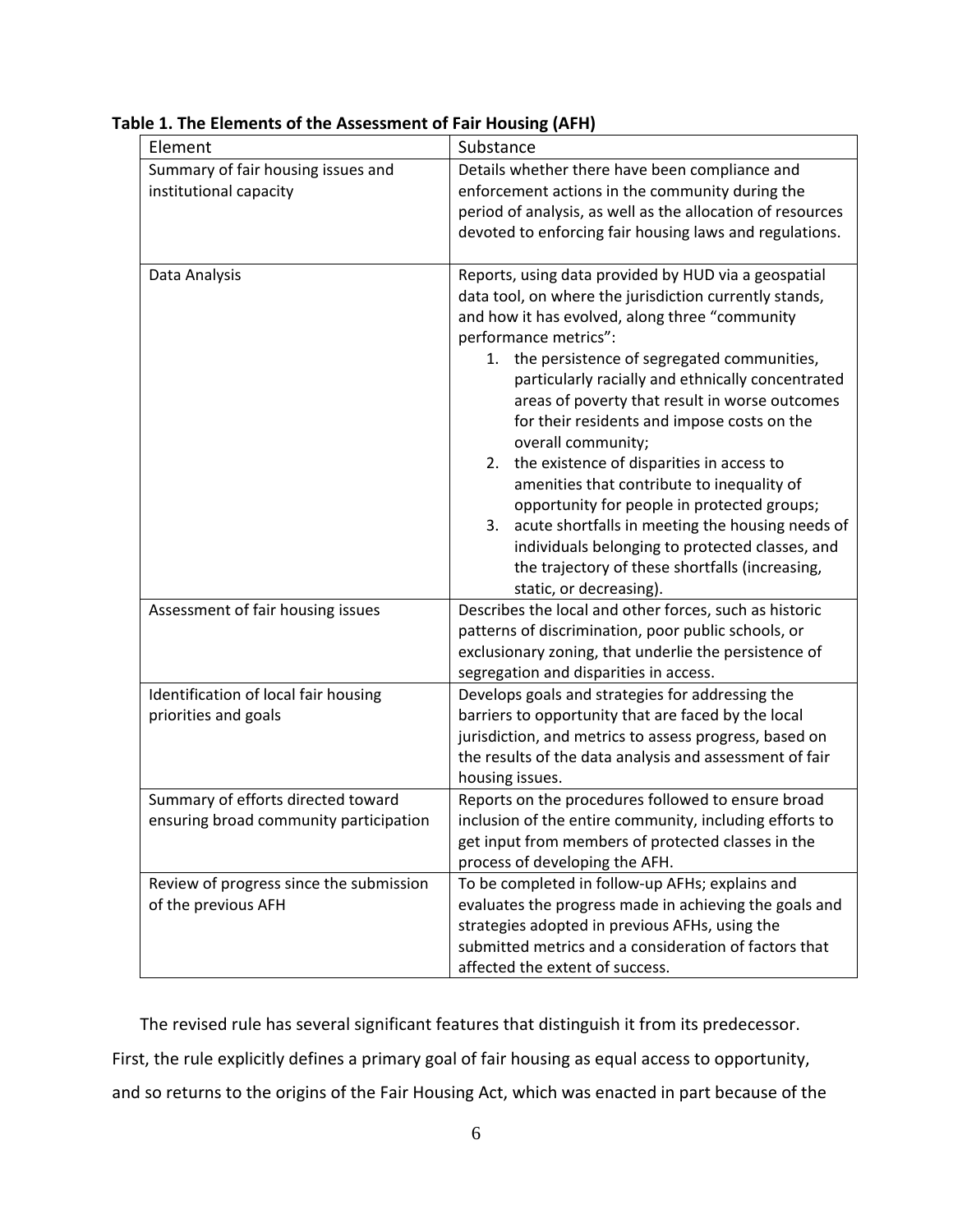| Element                                                                      | Substance                                                                                                                                                                                                                                                                                                                                                                                                                                                                                                                                                                                                                                                                                                                                                   |
|------------------------------------------------------------------------------|-------------------------------------------------------------------------------------------------------------------------------------------------------------------------------------------------------------------------------------------------------------------------------------------------------------------------------------------------------------------------------------------------------------------------------------------------------------------------------------------------------------------------------------------------------------------------------------------------------------------------------------------------------------------------------------------------------------------------------------------------------------|
| Summary of fair housing issues and<br>institutional capacity                 | Details whether there have been compliance and<br>enforcement actions in the community during the<br>period of analysis, as well as the allocation of resources<br>devoted to enforcing fair housing laws and regulations.                                                                                                                                                                                                                                                                                                                                                                                                                                                                                                                                  |
| Data Analysis                                                                | Reports, using data provided by HUD via a geospatial<br>data tool, on where the jurisdiction currently stands,<br>and how it has evolved, along three "community<br>performance metrics":<br>1. the persistence of segregated communities,<br>particularly racially and ethnically concentrated<br>areas of poverty that result in worse outcomes<br>for their residents and impose costs on the<br>overall community;<br>2. the existence of disparities in access to<br>amenities that contribute to inequality of<br>opportunity for people in protected groups;<br>3. acute shortfalls in meeting the housing needs of<br>individuals belonging to protected classes, and<br>the trajectory of these shortfalls (increasing,<br>static, or decreasing). |
| Assessment of fair housing issues                                            | Describes the local and other forces, such as historic<br>patterns of discrimination, poor public schools, or<br>exclusionary zoning, that underlie the persistence of<br>segregation and disparities in access.                                                                                                                                                                                                                                                                                                                                                                                                                                                                                                                                            |
| Identification of local fair housing<br>priorities and goals                 | Develops goals and strategies for addressing the<br>barriers to opportunity that are faced by the local<br>jurisdiction, and metrics to assess progress, based on<br>the results of the data analysis and assessment of fair<br>housing issues.                                                                                                                                                                                                                                                                                                                                                                                                                                                                                                             |
| Summary of efforts directed toward<br>ensuring broad community participation | Reports on the procedures followed to ensure broad<br>inclusion of the entire community, including efforts to<br>get input from members of protected classes in the<br>process of developing the AFH.                                                                                                                                                                                                                                                                                                                                                                                                                                                                                                                                                       |
| Review of progress since the submission<br>of the previous AFH               | To be completed in follow-up AFHs; explains and<br>evaluates the progress made in achieving the goals and<br>strategies adopted in previous AFHs, using the<br>submitted metrics and a consideration of factors that<br>affected the extent of success.                                                                                                                                                                                                                                                                                                                                                                                                                                                                                                     |

**Table 1. The Elements of the Assessment of Fair Housing (AFH)**

The revised rule has several significant features that distinguish it from its predecessor. First, the rule explicitly defines a primary goal of fair housing as equal access to opportunity, and so returns to the origins of the Fair Housing Act, which was enacted in part because of the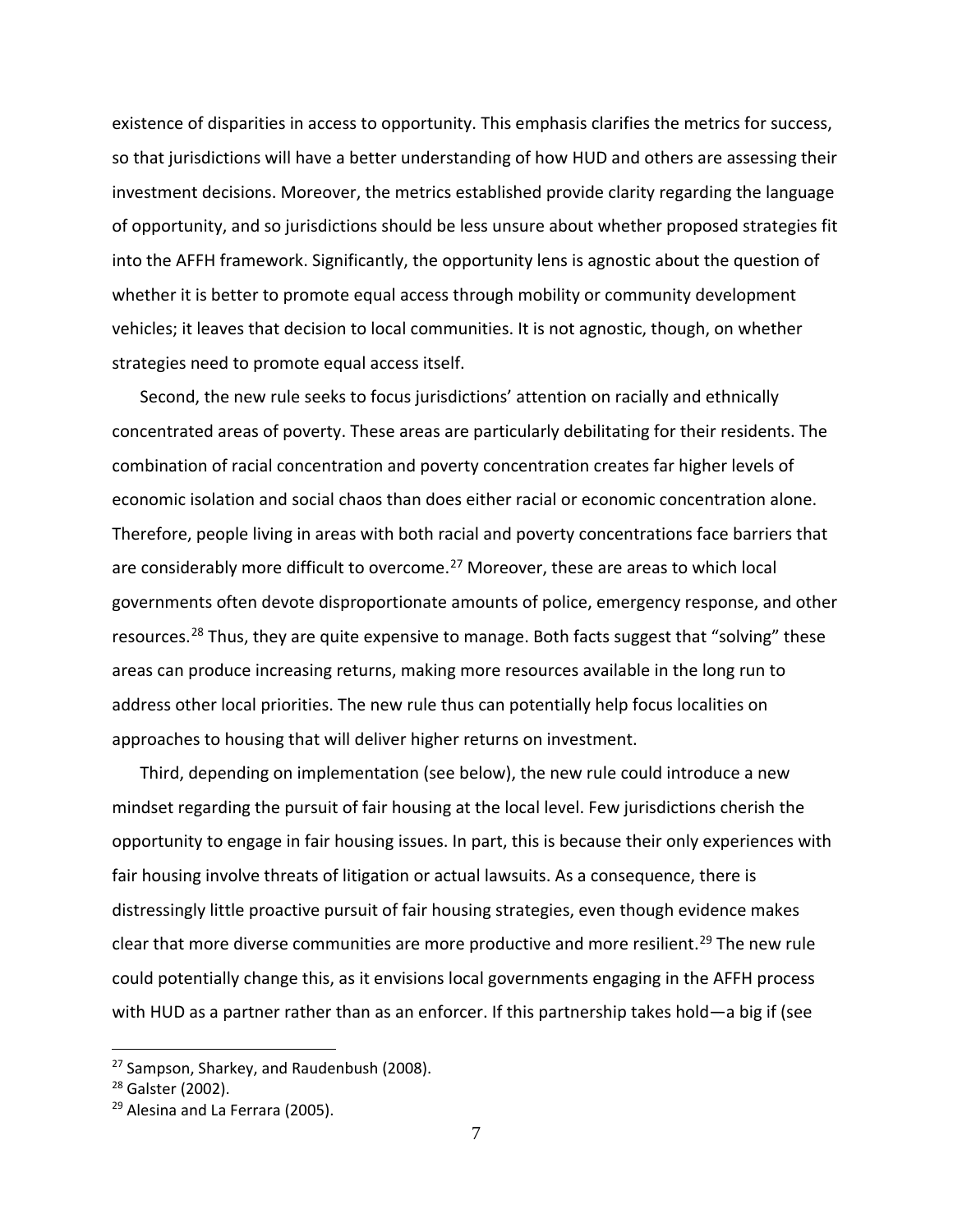existence of disparities in access to opportunity. This emphasis clarifies the metrics for success, so that jurisdictions will have a better understanding of how HUD and others are assessing their investment decisions. Moreover, the metrics established provide clarity regarding the language of opportunity, and so jurisdictions should be less unsure about whether proposed strategies fit into the AFFH framework. Significantly, the opportunity lens is agnostic about the question of whether it is better to promote equal access through mobility or community development vehicles; it leaves that decision to local communities. It is not agnostic, though, on whether strategies need to promote equal access itself.

Second, the new rule seeks to focus jurisdictions' attention on racially and ethnically concentrated areas of poverty. These areas are particularly debilitating for their residents. The combination of racial concentration and poverty concentration creates far higher levels of economic isolation and social chaos than does either racial or economic concentration alone. Therefore, people living in areas with both racial and poverty concentrations face barriers that are considerably more difficult to overcome.<sup>[27](#page-8-0)</sup> Moreover, these are areas to which local governments often devote disproportionate amounts of police, emergency response, and other resources.<sup>[28](#page-8-1)</sup> Thus, they are quite expensive to manage. Both facts suggest that "solving" these areas can produce increasing returns, making more resources available in the long run to address other local priorities. The new rule thus can potentially help focus localities on approaches to housing that will deliver higher returns on investment.

Third, depending on implementation (see below), the new rule could introduce a new mindset regarding the pursuit of fair housing at the local level. Few jurisdictions cherish the opportunity to engage in fair housing issues. In part, this is because their only experiences with fair housing involve threats of litigation or actual lawsuits. As a consequence, there is distressingly little proactive pursuit of fair housing strategies, even though evidence makes clear that more diverse communities are more productive and more resilient.<sup>[29](#page-8-2)</sup> The new rule could potentially change this, as it envisions local governments engaging in the AFFH process with HUD as a partner rather than as an enforcer. If this partnership takes hold—a big if (see

<span id="page-8-0"></span><sup>&</sup>lt;sup>27</sup> Sampson, Sharkey, and Raudenbush (2008).

<span id="page-8-1"></span><sup>28</sup> Galster (2002).

<span id="page-8-2"></span><sup>&</sup>lt;sup>29</sup> Alesina and La Ferrara (2005).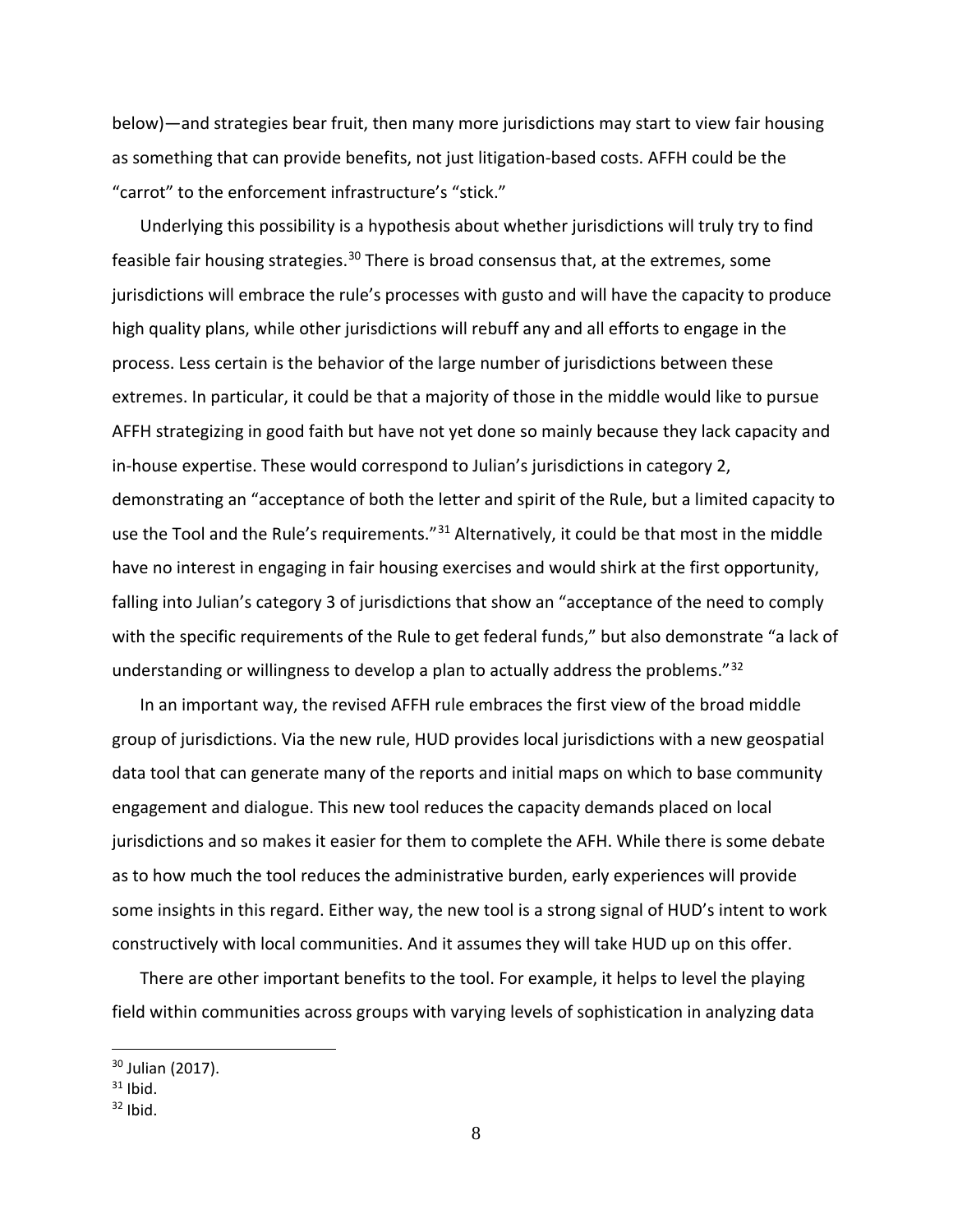below)—and strategies bear fruit, then many more jurisdictions may start to view fair housing as something that can provide benefits, not just litigation-based costs. AFFH could be the "carrot" to the enforcement infrastructure's "stick."

Underlying this possibility is a hypothesis about whether jurisdictions will truly try to find feasible fair housing strategies.<sup>[30](#page-9-0)</sup> There is broad consensus that, at the extremes, some jurisdictions will embrace the rule's processes with gusto and will have the capacity to produce high quality plans, while other jurisdictions will rebuff any and all efforts to engage in the process. Less certain is the behavior of the large number of jurisdictions between these extremes. In particular, it could be that a majority of those in the middle would like to pursue AFFH strategizing in good faith but have not yet done so mainly because they lack capacity and in-house expertise. These would correspond to Julian's jurisdictions in category 2, demonstrating an "acceptance of both the letter and spirit of the Rule, but a limited capacity to use the Tool and the Rule's requirements."<sup>[31](#page-9-1)</sup> Alternatively, it could be that most in the middle have no interest in engaging in fair housing exercises and would shirk at the first opportunity, falling into Julian's category 3 of jurisdictions that show an "acceptance of the need to comply with the specific requirements of the Rule to get federal funds," but also demonstrate "a lack of understanding or willingness to develop a plan to actually address the problems."[32](#page-9-2)

In an important way, the revised AFFH rule embraces the first view of the broad middle group of jurisdictions. Via the new rule, HUD provides local jurisdictions with a new geospatial data tool that can generate many of the reports and initial maps on which to base community engagement and dialogue. This new tool reduces the capacity demands placed on local jurisdictions and so makes it easier for them to complete the AFH. While there is some debate as to how much the tool reduces the administrative burden, early experiences will provide some insights in this regard. Either way, the new tool is a strong signal of HUD's intent to work constructively with local communities. And it assumes they will take HUD up on this offer.

There are other important benefits to the tool. For example, it helps to level the playing field within communities across groups with varying levels of sophistication in analyzing data

<span id="page-9-0"></span><sup>&</sup>lt;sup>30</sup> Julian (2017).

<span id="page-9-1"></span> $31$  Ibid.

<span id="page-9-2"></span> $32$  Ibid.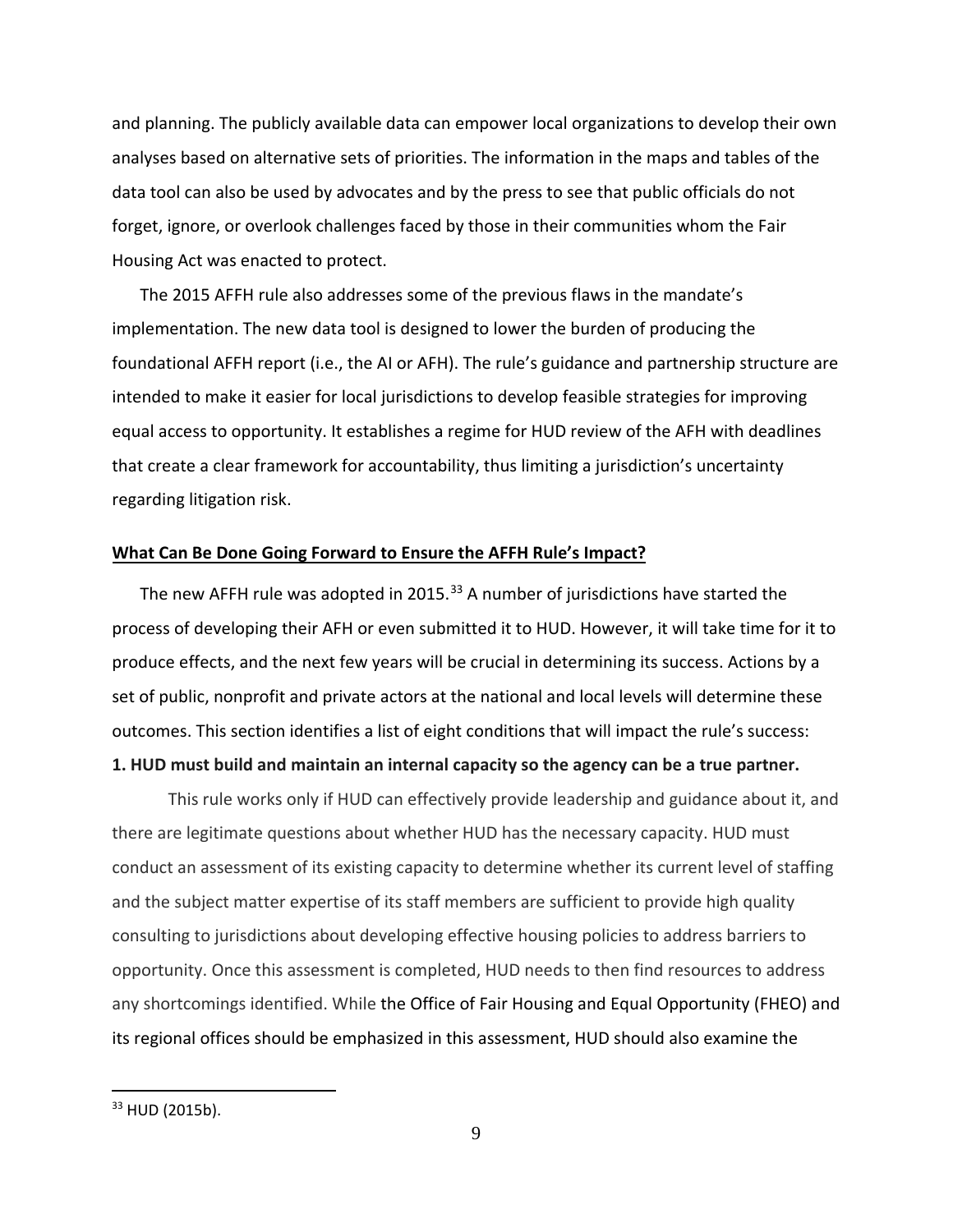and planning. The publicly available data can empower local organizations to develop their own analyses based on alternative sets of priorities. The information in the maps and tables of the data tool can also be used by advocates and by the press to see that public officials do not forget, ignore, or overlook challenges faced by those in their communities whom the Fair Housing Act was enacted to protect.

The 2015 AFFH rule also addresses some of the previous flaws in the mandate's implementation. The new data tool is designed to lower the burden of producing the foundational AFFH report (i.e., the AI or AFH). The rule's guidance and partnership structure are intended to make it easier for local jurisdictions to develop feasible strategies for improving equal access to opportunity. It establishes a regime for HUD review of the AFH with deadlines that create a clear framework for accountability, thus limiting a jurisdiction's uncertainty regarding litigation risk.

#### **What Can Be Done Going Forward to Ensure the AFFH Rule's Impact?**

The new AFFH rule was adopted in 2015.<sup>[33](#page-10-0)</sup> A number of jurisdictions have started the process of developing their AFH or even submitted it to HUD. However, it will take time for it to produce effects, and the next few years will be crucial in determining its success. Actions by a set of public, nonprofit and private actors at the national and local levels will determine these outcomes. This section identifies a list of eight conditions that will impact the rule's success:

## **1. HUD must build and maintain an internal capacity so the agency can be a true partner.**

This rule works only if HUD can effectively provide leadership and guidance about it, and there are legitimate questions about whether HUD has the necessary capacity. HUD must conduct an assessment of its existing capacity to determine whether its current level of staffing and the subject matter expertise of its staff members are sufficient to provide high quality consulting to jurisdictions about developing effective housing policies to address barriers to opportunity. Once this assessment is completed, HUD needs to then find resources to address any shortcomings identified. While the Office of Fair Housing and Equal Opportunity (FHEO) and its regional offices should be emphasized in this assessment, HUD should also examine the

<span id="page-10-0"></span><sup>33</sup> HUD (2015b).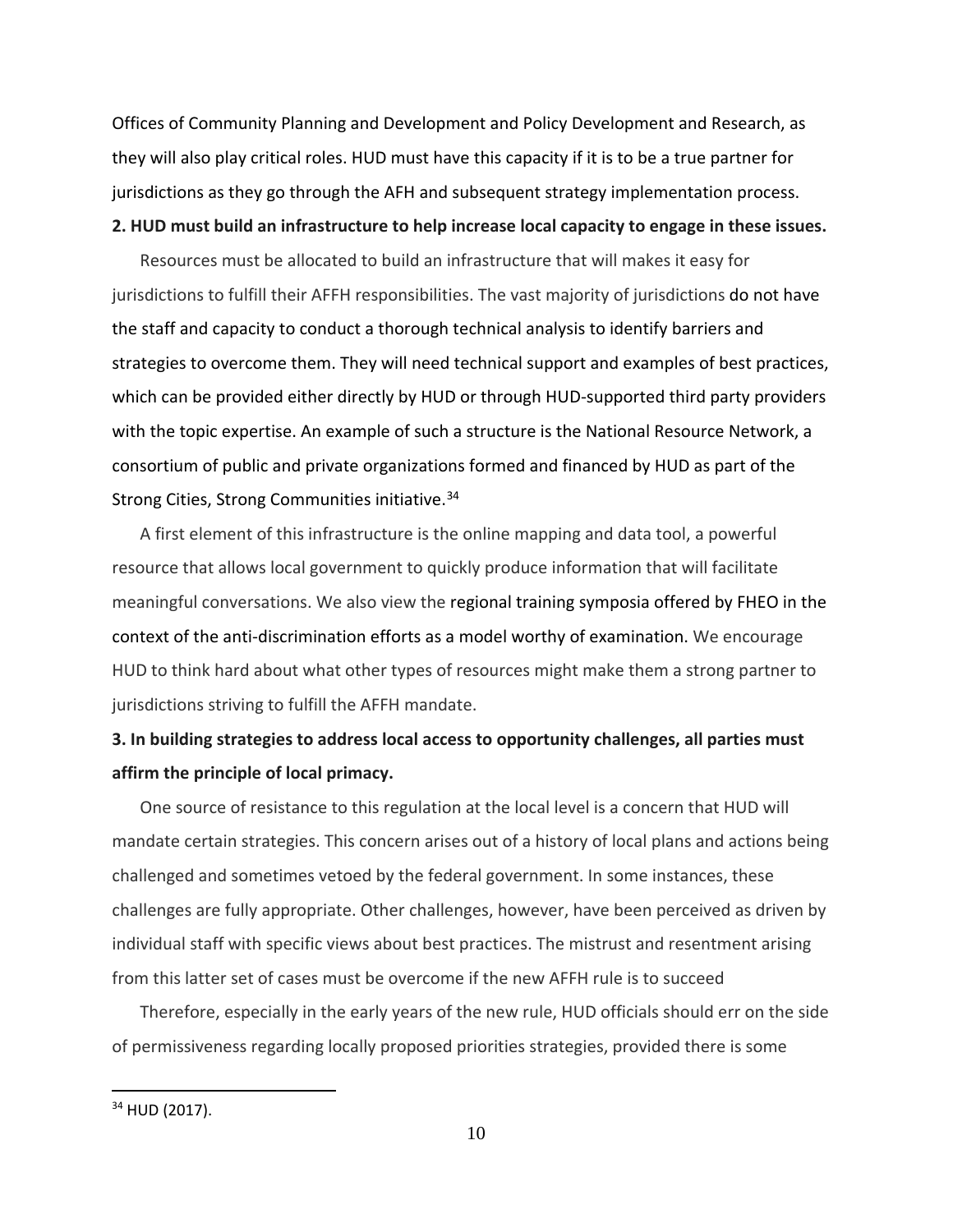Offices of Community Planning and Development and Policy Development and Research, as they will also play critical roles. HUD must have this capacity if it is to be a true partner for jurisdictions as they go through the AFH and subsequent strategy implementation process.

#### **2. HUD must build an infrastructure to help increase local capacity to engage in these issues.**

Resources must be allocated to build an infrastructure that will makes it easy for jurisdictions to fulfill their AFFH responsibilities. The vast majority of jurisdictions do not have the staff and capacity to conduct a thorough technical analysis to identify barriers and strategies to overcome them. They will need technical support and examples of best practices, which can be provided either directly by HUD or through HUD-supported third party providers with the topic expertise. An example of such a structure is the National Resource Network, a consortium of public and private organizations formed and financed by HUD as part of the Strong Cities, Strong Communities initiative.<sup>[34](#page-11-0)</sup>

A first element of this infrastructure is the online mapping and data tool, a powerful resource that allows local government to quickly produce information that will facilitate meaningful conversations. We also view the regional training symposia offered by FHEO in the context of the anti-discrimination efforts as a model worthy of examination. We encourage HUD to think hard about what other types of resources might make them a strong partner to jurisdictions striving to fulfill the AFFH mandate.

## **3. In building strategies to address local access to opportunity challenges, all parties must affirm the principle of local primacy.**

One source of resistance to this regulation at the local level is a concern that HUD will mandate certain strategies. This concern arises out of a history of local plans and actions being challenged and sometimes vetoed by the federal government. In some instances, these challenges are fully appropriate. Other challenges, however, have been perceived as driven by individual staff with specific views about best practices. The mistrust and resentment arising from this latter set of cases must be overcome if the new AFFH rule is to succeed

Therefore, especially in the early years of the new rule, HUD officials should err on the side of permissiveness regarding locally proposed priorities strategies, provided there is some

<span id="page-11-0"></span><sup>34</sup> HUD (2017).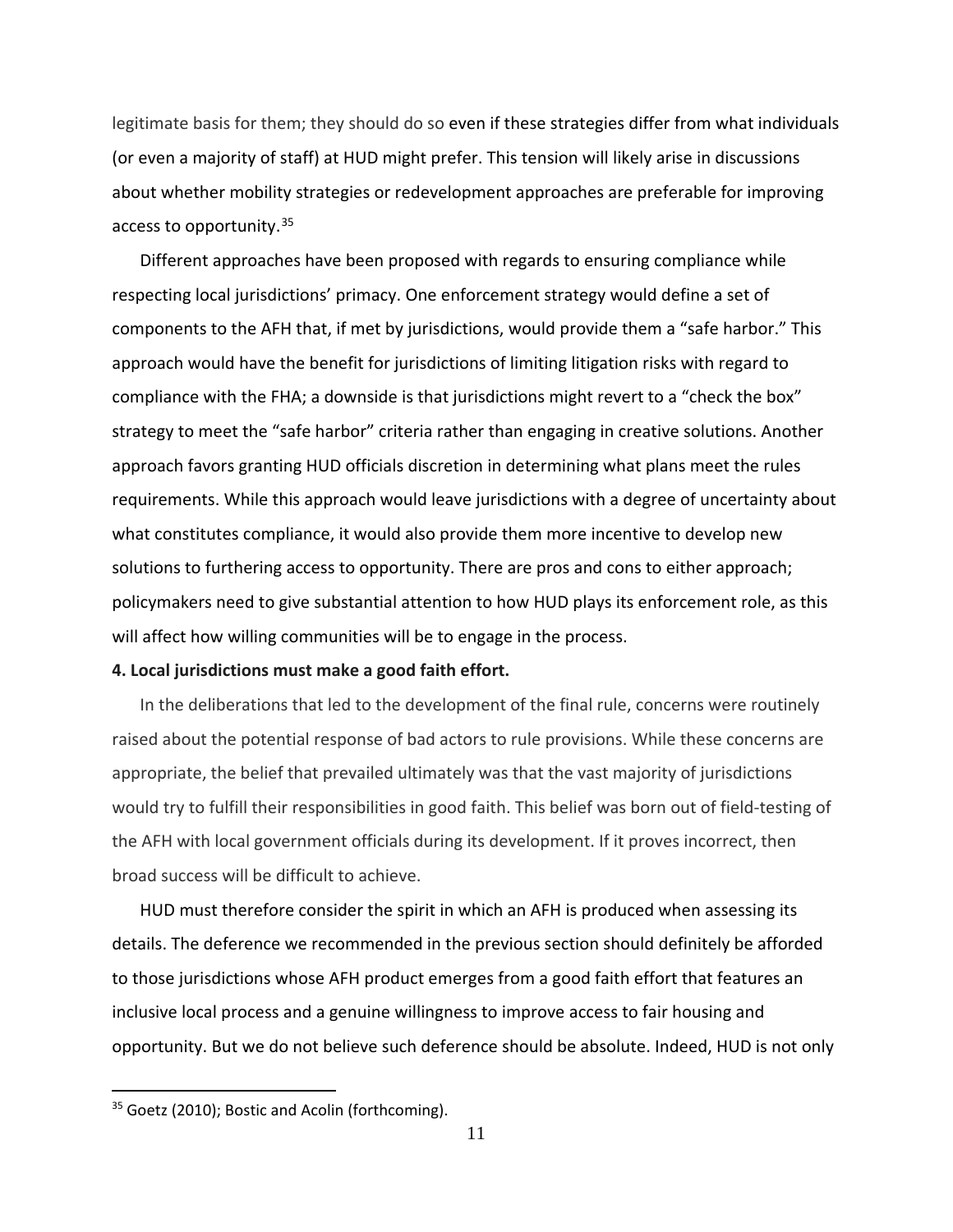legitimate basis for them; they should do so even if these strategies differ from what individuals (or even a majority of staff) at HUD might prefer. This tension will likely arise in discussions about whether mobility strategies or redevelopment approaches are preferable for improving access to opportunity.<sup>[35](#page-12-0)</sup>

Different approaches have been proposed with regards to ensuring compliance while respecting local jurisdictions' primacy. One enforcement strategy would define a set of components to the AFH that, if met by jurisdictions, would provide them a "safe harbor." This approach would have the benefit for jurisdictions of limiting litigation risks with regard to compliance with the FHA; a downside is that jurisdictions might revert to a "check the box" strategy to meet the "safe harbor" criteria rather than engaging in creative solutions. Another approach favors granting HUD officials discretion in determining what plans meet the rules requirements. While this approach would leave jurisdictions with a degree of uncertainty about what constitutes compliance, it would also provide them more incentive to develop new solutions to furthering access to opportunity. There are pros and cons to either approach; policymakers need to give substantial attention to how HUD plays its enforcement role, as this will affect how willing communities will be to engage in the process.

#### **4. Local jurisdictions must make a good faith effort.**

In the deliberations that led to the development of the final rule, concerns were routinely raised about the potential response of bad actors to rule provisions. While these concerns are appropriate, the belief that prevailed ultimately was that the vast majority of jurisdictions would try to fulfill their responsibilities in good faith. This belief was born out of field-testing of the AFH with local government officials during its development. If it proves incorrect, then broad success will be difficult to achieve.

HUD must therefore consider the spirit in which an AFH is produced when assessing its details. The deference we recommended in the previous section should definitely be afforded to those jurisdictions whose AFH product emerges from a good faith effort that features an inclusive local process and a genuine willingness to improve access to fair housing and opportunity. But we do not believe such deference should be absolute. Indeed, HUD is not only

<span id="page-12-0"></span><sup>&</sup>lt;sup>35</sup> Goetz (2010); Bostic and Acolin (forthcoming).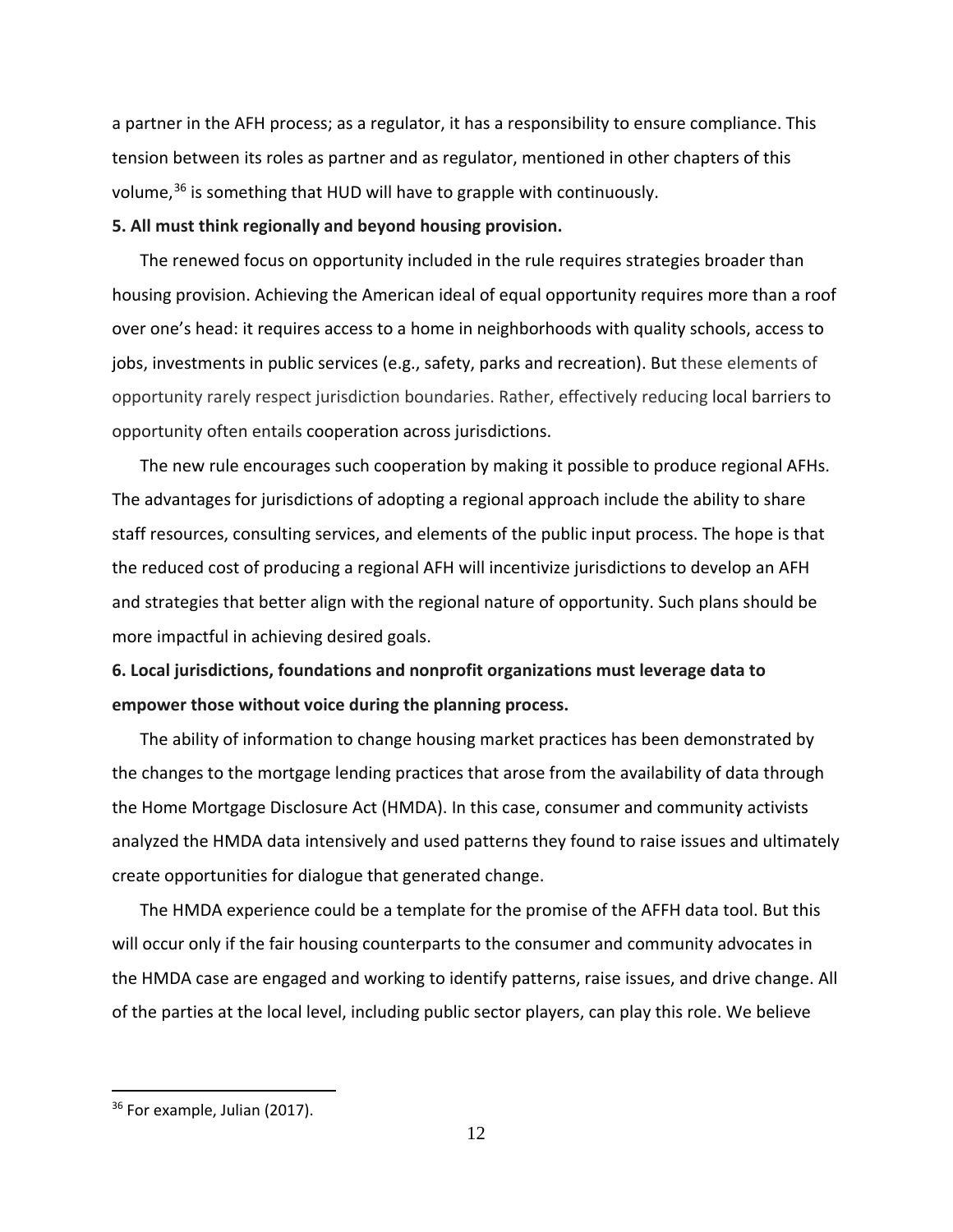a partner in the AFH process; as a regulator, it has a responsibility to ensure compliance. This tension between its roles as partner and as regulator, mentioned in other chapters of this volume,<sup>[36](#page-13-0)</sup> is something that HUD will have to grapple with continuously.

#### **5. All must think regionally and beyond housing provision.**

The renewed focus on opportunity included in the rule requires strategies broader than housing provision. Achieving the American ideal of equal opportunity requires more than a roof over one's head: it requires access to a home in neighborhoods with quality schools, access to jobs, investments in public services (e.g., safety, parks and recreation). But these elements of opportunity rarely respect jurisdiction boundaries. Rather, effectively reducing local barriers to opportunity often entails cooperation across jurisdictions.

The new rule encourages such cooperation by making it possible to produce regional AFHs. The advantages for jurisdictions of adopting a regional approach include the ability to share staff resources, consulting services, and elements of the public input process. The hope is that the reduced cost of producing a regional AFH will incentivize jurisdictions to develop an AFH and strategies that better align with the regional nature of opportunity. Such plans should be more impactful in achieving desired goals.

# **6. Local jurisdictions, foundations and nonprofit organizations must leverage data to empower those without voice during the planning process.**

The ability of information to change housing market practices has been demonstrated by the changes to the mortgage lending practices that arose from the availability of data through the Home Mortgage Disclosure Act (HMDA). In this case, consumer and community activists analyzed the HMDA data intensively and used patterns they found to raise issues and ultimately create opportunities for dialogue that generated change.

The HMDA experience could be a template for the promise of the AFFH data tool. But this will occur only if the fair housing counterparts to the consumer and community advocates in the HMDA case are engaged and working to identify patterns, raise issues, and drive change. All of the parties at the local level, including public sector players, can play this role. We believe

<span id="page-13-0"></span> $36$  For example, Julian (2017).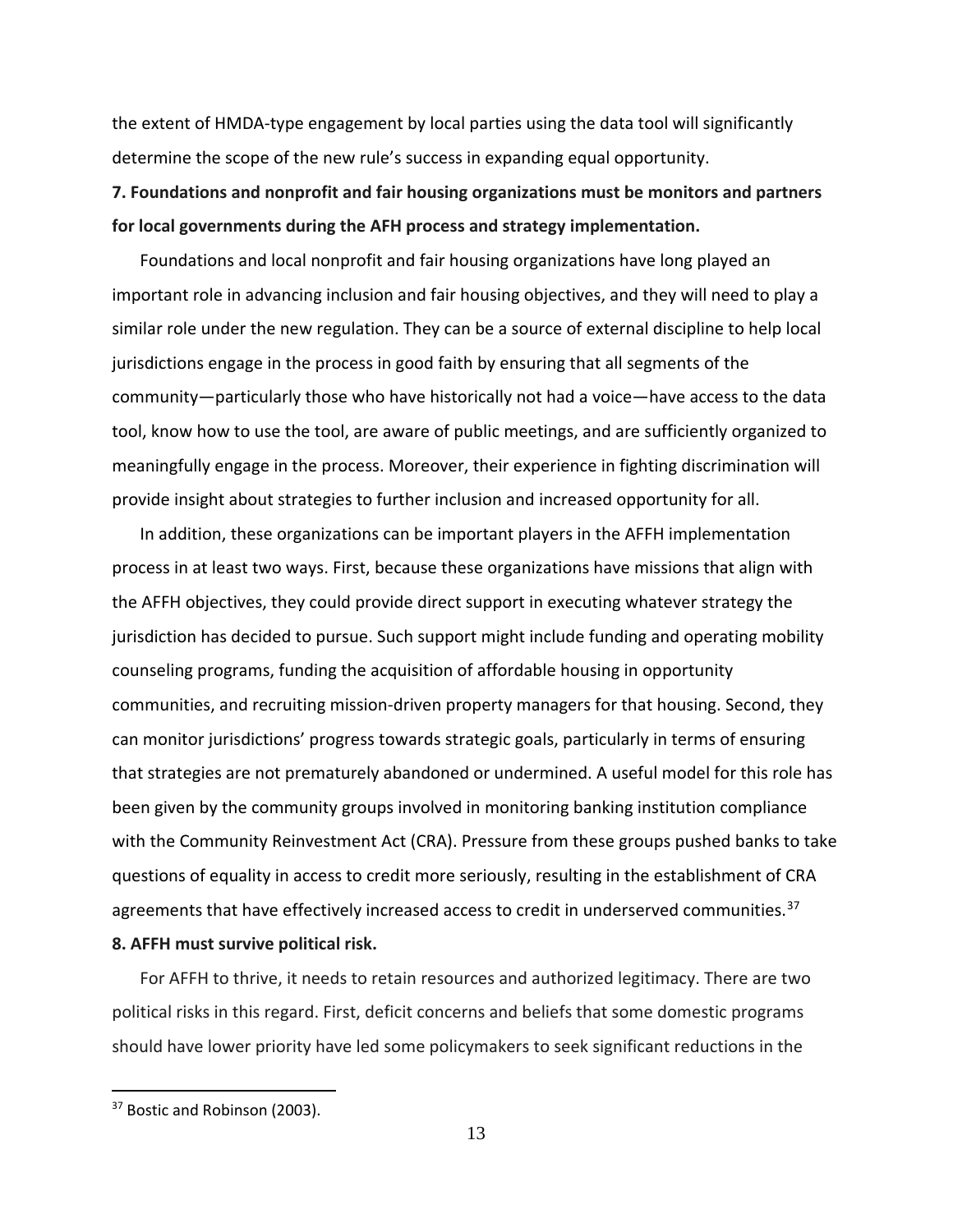the extent of HMDA-type engagement by local parties using the data tool will significantly determine the scope of the new rule's success in expanding equal opportunity.

# **7. Foundations and nonprofit and fair housing organizations must be monitors and partners for local governments during the AFH process and strategy implementation.**

Foundations and local nonprofit and fair housing organizations have long played an important role in advancing inclusion and fair housing objectives, and they will need to play a similar role under the new regulation. They can be a source of external discipline to help local jurisdictions engage in the process in good faith by ensuring that all segments of the community—particularly those who have historically not had a voice—have access to the data tool, know how to use the tool, are aware of public meetings, and are sufficiently organized to meaningfully engage in the process. Moreover, their experience in fighting discrimination will provide insight about strategies to further inclusion and increased opportunity for all.

In addition, these organizations can be important players in the AFFH implementation process in at least two ways. First, because these organizations have missions that align with the AFFH objectives, they could provide direct support in executing whatever strategy the jurisdiction has decided to pursue. Such support might include funding and operating mobility counseling programs, funding the acquisition of affordable housing in opportunity communities, and recruiting mission-driven property managers for that housing. Second, they can monitor jurisdictions' progress towards strategic goals, particularly in terms of ensuring that strategies are not prematurely abandoned or undermined. A useful model for this role has been given by the community groups involved in monitoring banking institution compliance with the Community Reinvestment Act (CRA). Pressure from these groups pushed banks to take questions of equality in access to credit more seriously, resulting in the establishment of CRA agreements that have effectively increased access to credit in underserved communities.<sup>[37](#page-14-0)</sup> **8. AFFH must survive political risk.**

For AFFH to thrive, it needs to retain resources and authorized legitimacy. There are two political risks in this regard. First, deficit concerns and beliefs that some domestic programs should have lower priority have led some policymakers to seek significant reductions in the

<span id="page-14-0"></span><sup>&</sup>lt;sup>37</sup> Bostic and Robinson (2003).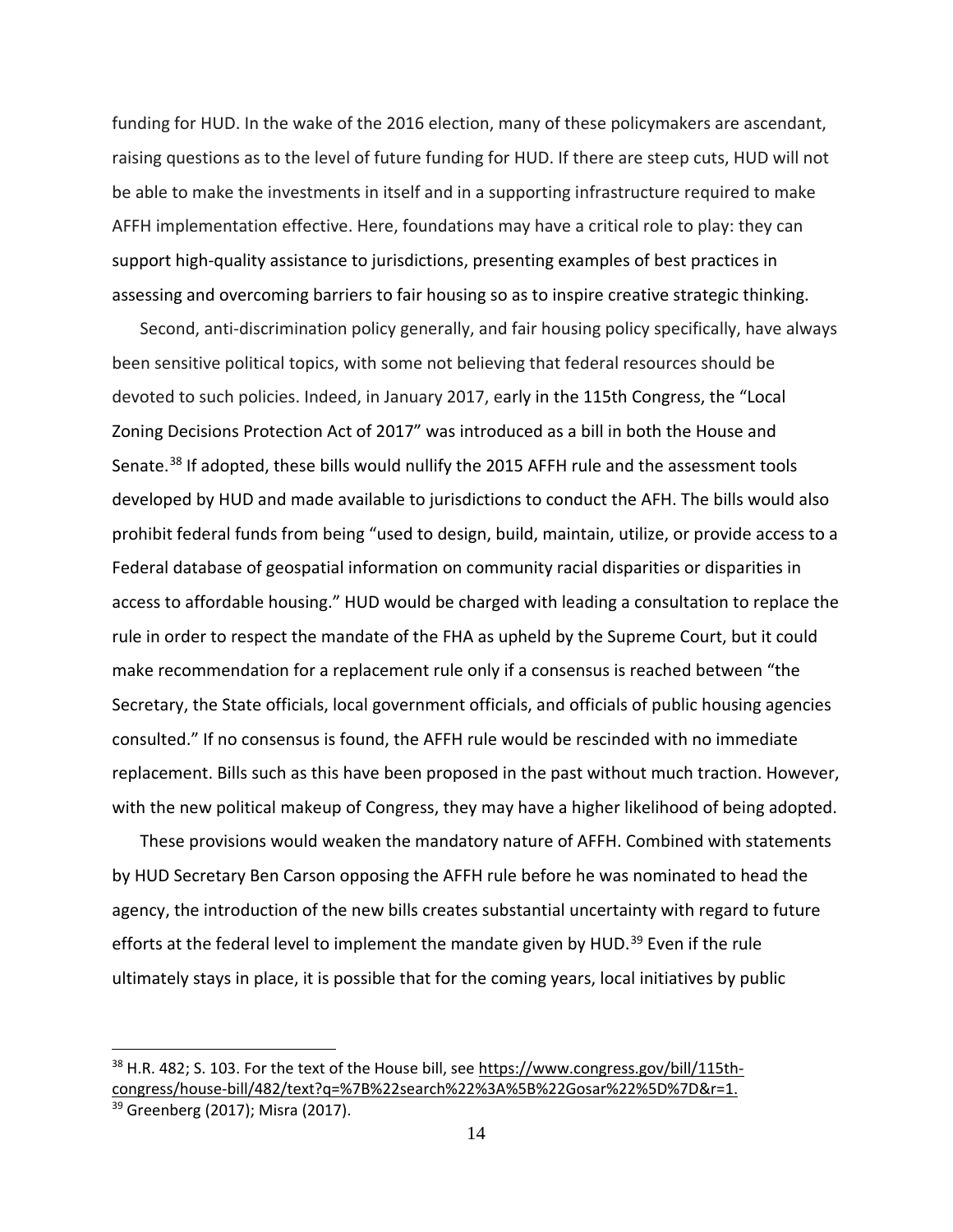funding for HUD. In the wake of the 2016 election, many of these policymakers are ascendant, raising questions as to the level of future funding for HUD. If there are steep cuts, HUD will not be able to make the investments in itself and in a supporting infrastructure required to make AFFH implementation effective. Here, foundations may have a critical role to play: they can support high-quality assistance to jurisdictions, presenting examples of best practices in assessing and overcoming barriers to fair housing so as to inspire creative strategic thinking.

Second, anti-discrimination policy generally, and fair housing policy specifically, have always been sensitive political topics, with some not believing that federal resources should be devoted to such policies. Indeed, in January 2017, early in the 115th Congress, the "Local Zoning Decisions Protection Act of 2017" was introduced as a bill in both the House and Senate.<sup>[38](#page-15-0)</sup> If adopted, these bills would nullify the 2015 AFFH rule and the assessment tools developed by HUD and made available to jurisdictions to conduct the AFH. The bills would also prohibit federal funds from being "used to design, build, maintain, utilize, or provide access to a Federal database of geospatial information on community racial disparities or disparities in access to affordable housing." HUD would be charged with leading a consultation to replace the rule in order to respect the mandate of the FHA as upheld by the Supreme Court, but it could make recommendation for a replacement rule only if a consensus is reached between "the Secretary, the State officials, local government officials, and officials of public housing agencies consulted." If no consensus is found, the AFFH rule would be rescinded with no immediate replacement. Bills such as this have been proposed in the past without much traction. However, with the new political makeup of Congress, they may have a higher likelihood of being adopted.

These provisions would weaken the mandatory nature of AFFH. Combined with statements by HUD Secretary Ben Carson opposing the AFFH rule before he was nominated to head the agency, the introduction of the new bills creates substantial uncertainty with regard to future efforts at the federal level to implement the mandate given by HUD.<sup>[39](#page-15-1)</sup> Even if the rule ultimately stays in place, it is possible that for the coming years, local initiatives by public

<span id="page-15-0"></span><sup>&</sup>lt;sup>38</sup> H.R. 482; S. 103. For the text of the House bill, see [https://www.congress.gov/bill/115th](https://www.congress.gov/bill/115th-congress/house-bill/482/text?q=%7B%22search%22%3A%5B%22Gosar%22%5D%7D&r=1)[congress/house-bill/482/text?q=%7B%22search%22%3A%5B%22Gosar%22%5D%7D&r=1.](https://www.congress.gov/bill/115th-congress/house-bill/482/text?q=%7B%22search%22%3A%5B%22Gosar%22%5D%7D&r=1)

<span id="page-15-1"></span><sup>&</sup>lt;sup>39</sup> Greenberg (2017); Misra (2017).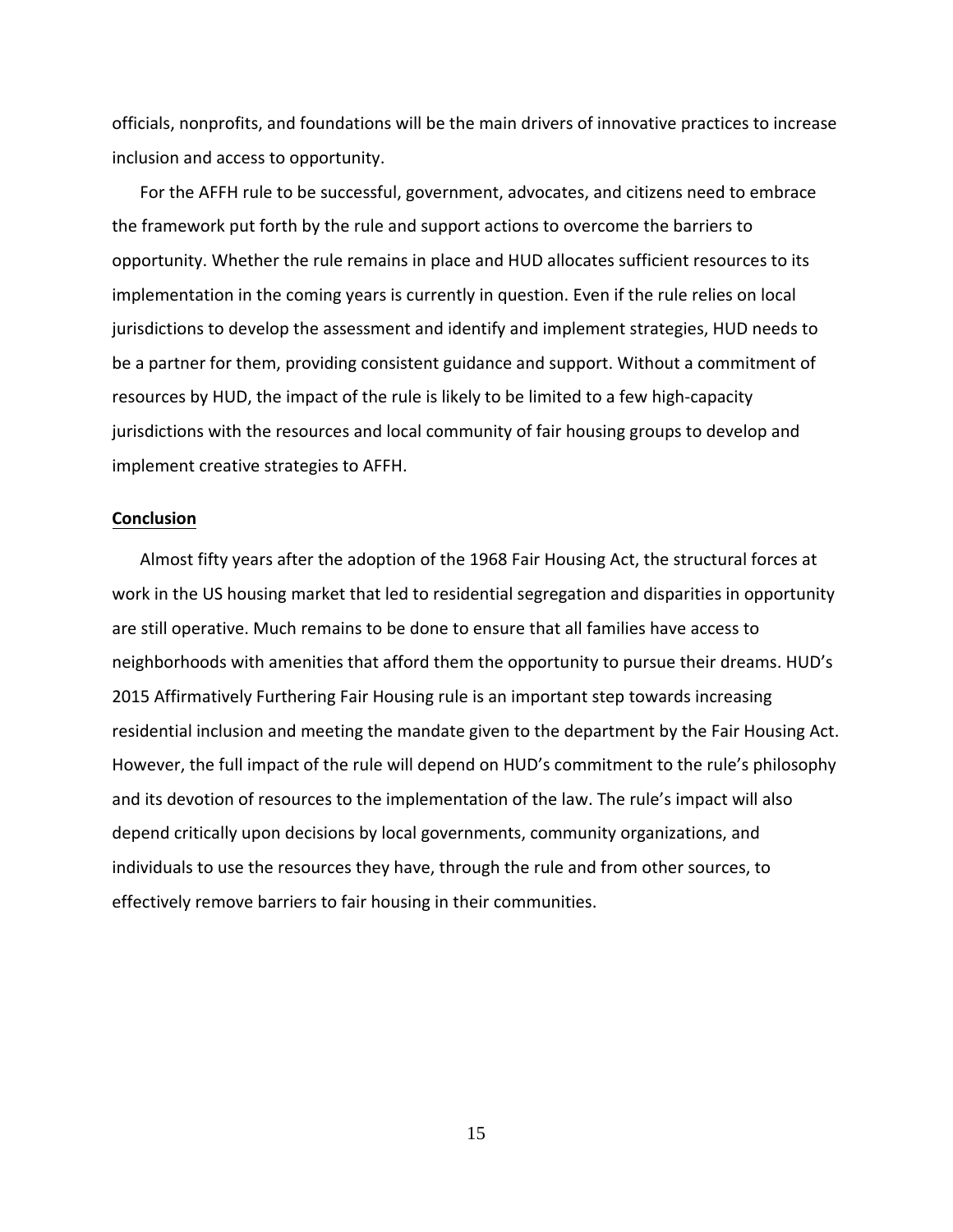officials, nonprofits, and foundations will be the main drivers of innovative practices to increase inclusion and access to opportunity.

For the AFFH rule to be successful, government, advocates, and citizens need to embrace the framework put forth by the rule and support actions to overcome the barriers to opportunity. Whether the rule remains in place and HUD allocates sufficient resources to its implementation in the coming years is currently in question. Even if the rule relies on local jurisdictions to develop the assessment and identify and implement strategies, HUD needs to be a partner for them, providing consistent guidance and support. Without a commitment of resources by HUD, the impact of the rule is likely to be limited to a few high-capacity jurisdictions with the resources and local community of fair housing groups to develop and implement creative strategies to AFFH.

#### **Conclusion**

Almost fifty years after the adoption of the 1968 Fair Housing Act, the structural forces at work in the US housing market that led to residential segregation and disparities in opportunity are still operative. Much remains to be done to ensure that all families have access to neighborhoods with amenities that afford them the opportunity to pursue their dreams. HUD's 2015 Affirmatively Furthering Fair Housing rule is an important step towards increasing residential inclusion and meeting the mandate given to the department by the Fair Housing Act. However, the full impact of the rule will depend on HUD's commitment to the rule's philosophy and its devotion of resources to the implementation of the law. The rule's impact will also depend critically upon decisions by local governments, community organizations, and individuals to use the resources they have, through the rule and from other sources, to effectively remove barriers to fair housing in their communities.

15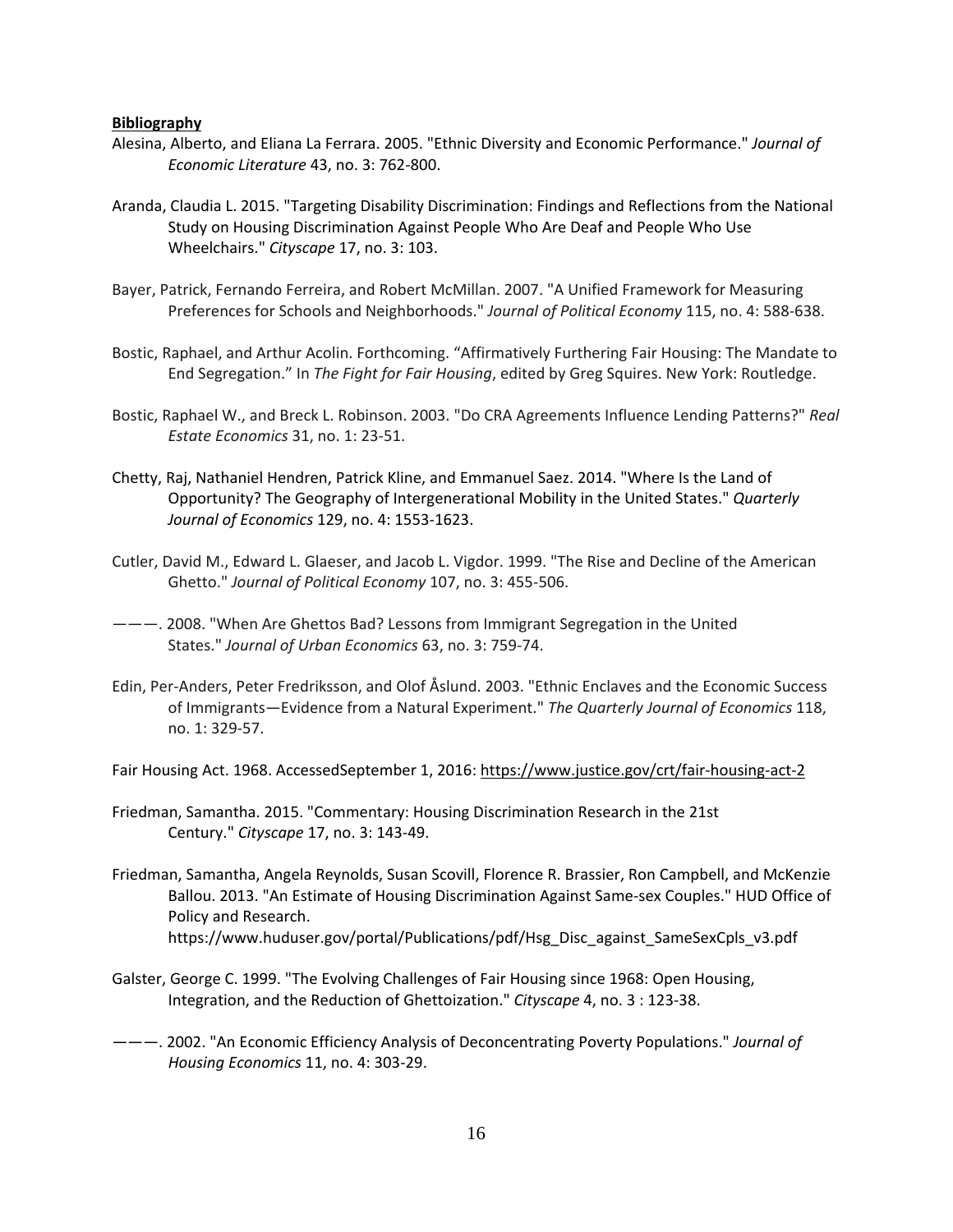#### **Bibliography**

- Alesina, Alberto, and Eliana La Ferrara. 2005. "Ethnic Diversity and Economic Performance." *Journal of Economic Literature* 43, no. 3: 762-800.
- Aranda, Claudia L. 2015. "Targeting Disability Discrimination: Findings and Reflections from the National Study on Housing Discrimination Against People Who Are Deaf and People Who Use Wheelchairs." *Cityscape* 17, no. 3: 103.
- Bayer, Patrick, Fernando Ferreira, and Robert McMillan. 2007. "A Unified Framework for Measuring Preferences for Schools and Neighborhoods." *Journal of Political Economy* 115, no. 4: 588-638.
- Bostic, Raphael, and Arthur Acolin. Forthcoming. "Affirmatively Furthering Fair Housing: The Mandate to End Segregation." In *The Fight for Fair Housing*, edited by Greg Squires. New York: Routledge.
- Bostic, Raphael W., and Breck L. Robinson. 2003. "Do CRA Agreements Influence Lending Patterns?" *Real Estate Economics* 31, no. 1: 23-51.
- Chetty, Raj, Nathaniel Hendren, Patrick Kline, and Emmanuel Saez. 2014. "Where Is the Land of Opportunity? The Geography of Intergenerational Mobility in the United States." *Quarterly Journal of Economics* 129, no. 4: 1553-1623.
- Cutler, David M., Edward L. Glaeser, and Jacob L. Vigdor. 1999. "The Rise and Decline of the American Ghetto." *Journal of Political Economy* 107, no. 3: 455-506.
- ———. 2008. "When Are Ghettos Bad? Lessons from Immigrant Segregation in the United States." *Journal of Urban Economics* 63, no. 3: 759-74.
- Edin, Per-Anders, Peter Fredriksson, and Olof Åslund. 2003. "Ethnic Enclaves and the Economic Success of Immigrants—Evidence from a Natural Experiment." *The Quarterly Journal of Economics* 118, no. 1: 329-57.

Fair Housing Act. 1968. AccessedSeptember 1, 2016: <https://www.justice.gov/crt/fair-housing-act-2>

- Friedman, Samantha. 2015. "Commentary: Housing Discrimination Research in the 21st Century." *Cityscape* 17, no. 3: 143-49.
- Friedman, Samantha, Angela Reynolds, Susan Scovill, Florence R. Brassier, Ron Campbell, and McKenzie Ballou. 2013. "An Estimate of Housing Discrimination Against Same-sex Couples." HUD Office of Policy and Research. https://www.huduser.gov/portal/Publications/pdf/Hsg\_Disc\_against\_SameSexCpls\_v3.pdf
- Galster, George C. 1999. "The Evolving Challenges of Fair Housing since 1968: Open Housing, Integration, and the Reduction of Ghettoization." *Cityscape* 4, no. 3 : 123-38.
- ———. 2002. "An Economic Efficiency Analysis of Deconcentrating Poverty Populations." *Journal of Housing Economics* 11, no. 4: 303-29.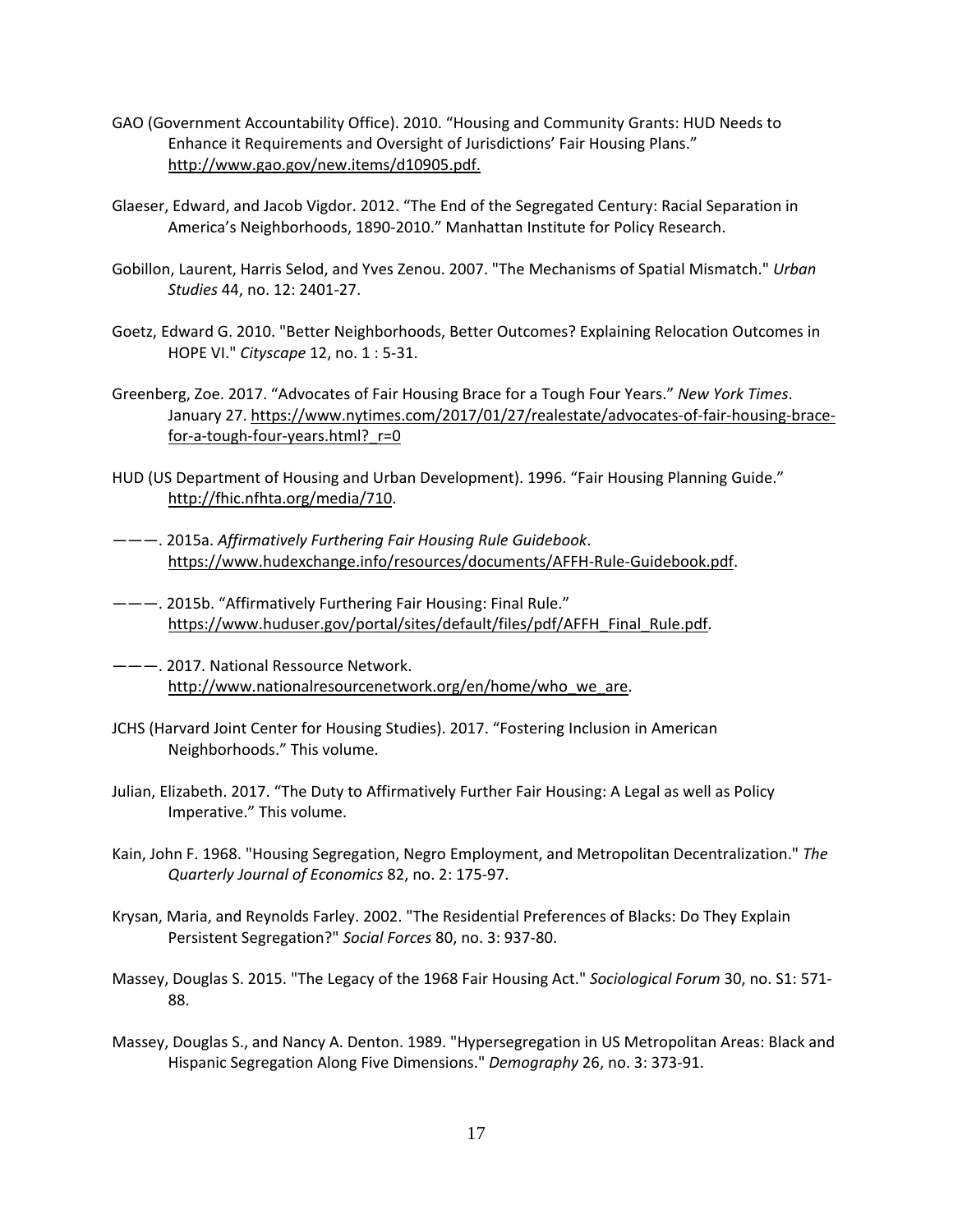- GAO (Government Accountability Office). 2010. "Housing and Community Grants: HUD Needs to Enhance it Requirements and Oversight of Jurisdictions' Fair Housing Plans." [http://www.gao.gov/new.items/d10905.pdf.](http://www.gao.gov/new.items/d10905.pdf)
- Glaeser, Edward, and Jacob Vigdor. 2012. "The End of the Segregated Century: Racial Separation in America's Neighborhoods, 1890-2010." Manhattan Institute for Policy Research.
- Gobillon, Laurent, Harris Selod, and Yves Zenou. 2007. "The Mechanisms of Spatial Mismatch." *Urban Studies* 44, no. 12: 2401-27.
- Goetz, Edward G. 2010. "Better Neighborhoods, Better Outcomes? Explaining Relocation Outcomes in HOPE VI." *Cityscape* 12, no. 1 : 5-31.
- Greenberg, Zoe. 2017. "Advocates of Fair Housing Brace for a Tough Four Years." *New York Times*. January 27. [https://www.nytimes.com/2017/01/27/realestate/advocates-of-fair-housing-brace](https://www.nytimes.com/2017/01/27/realestate/advocates-of-fair-housing-brace-for-a-tough-four-years.html?_r=0)for-a-tough-four-years.html? r=0
- HUD (US Department of Housing and Urban Development). 1996. "Fair Housing Planning Guide." [http://fhic.nfhta.org/media/710.](http://fhic.nfhta.org/media/710)
- ———. 2015a. *Affirmatively Furthering Fair Housing Rule Guidebook*. [https://www.hudexchange.info/resources/documents/AFFH-Rule-Guidebook.pdf.](https://urldefense.proofpoint.com/v2/url?u=https-3A__www.hudexchange.info_resources_documents_AFFH-2DRule-2DGuidebook.pdf&d=DQMGaQ&c=clK7kQUTWtAVEOVIgvi0NU5BOUHhpN0H8p7CSfnc_gI&r=nJwPzgnxl92xgv-QwdK_cA&m=0Vh-PmW-S0Y-FQwuv72iDNAoIGqmpHsTBUFDC8cp3JE&s=AYiKwyBg5m7kLeW3UfAjK29v-xWcVCUmgXjrDGyzU9w&e=)
- ———. 2015b. "Affirmatively Furthering Fair Housing: Final Rule." [https://www.huduser.gov/portal/sites/default/files/pdf/AFFH\\_Final\\_Rule.pdf.](https://www.huduser.gov/portal/sites/default/files/pdf/AFFH_Final_Rule.pdf)
- ———. 2017. National Ressource Network. [http://www.nationalresourcenetwork.org/en/home/who\\_we\\_are.](http://www.nationalresourcenetwork.org/en/home/who_we_are)
- JCHS (Harvard Joint Center for Housing Studies). 2017. "Fostering Inclusion in American Neighborhoods." This volume.
- Julian, Elizabeth. 2017. "The Duty to Affirmatively Further Fair Housing: A Legal as well as Policy Imperative." This volume.
- Kain, John F. 1968. "Housing Segregation, Negro Employment, and Metropolitan Decentralization." *The Quarterly Journal of Economics* 82, no. 2: 175-97.
- Krysan, Maria, and Reynolds Farley. 2002. "The Residential Preferences of Blacks: Do They Explain Persistent Segregation?" *Social Forces* 80, no. 3: 937-80.
- Massey, Douglas S. 2015. "The Legacy of the 1968 Fair Housing Act." *Sociological Forum* 30, no. S1: 571- 88.
- Massey, Douglas S., and Nancy A. Denton. 1989. "Hypersegregation in US Metropolitan Areas: Black and Hispanic Segregation Along Five Dimensions." *Demography* 26, no. 3: 373-91.